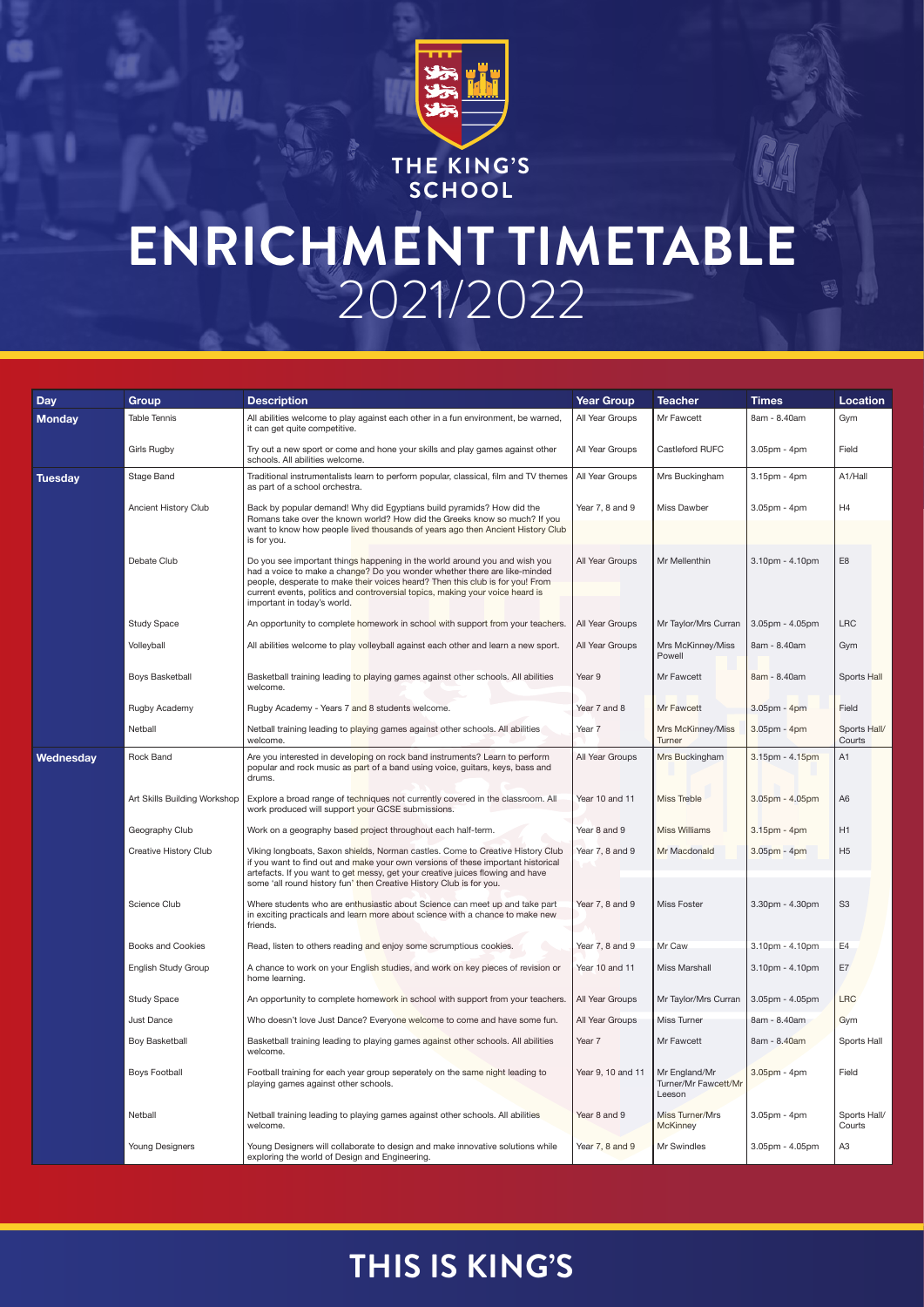

**THE KING'S SCHOOL**

## **ENRICHMENT TIMETABLE**  2021/2022

## **THIS IS KING'S**

| <b>Day</b>     | <b>Group</b>                 | <b>Description</b>                                                                                                                                                                                                                                                                                                                                       | <b>Year Group</b> | <b>Teacher</b>                                  | <b>Times</b>          | <b>Location</b>        |
|----------------|------------------------------|----------------------------------------------------------------------------------------------------------------------------------------------------------------------------------------------------------------------------------------------------------------------------------------------------------------------------------------------------------|-------------------|-------------------------------------------------|-----------------------|------------------------|
| <b>Monday</b>  | <b>Table Tennis</b>          | All abilities welcome to play against each other in a fun environment, be warned,<br>it can get quite competitive.                                                                                                                                                                                                                                       | All Year Groups   | Mr Fawcett                                      | 8am - 8.40am          | Gym                    |
|                | <b>Girls Rugby</b>           | Try out a new sport or come and hone your skills and play games against other<br>schools. All abilities welcome.                                                                                                                                                                                                                                         | All Year Groups   | Castleford RUFC                                 | $3.05$ pm - $4$ pm    | Field                  |
| <b>Tuesday</b> | Stage Band                   | Traditional instrumentalists learn to perform popular, classical, film and TV themes<br>as part of a school orchestra.                                                                                                                                                                                                                                   | All Year Groups   | Mrs Buckingham                                  | 3.15pm - 4pm          | A1/Hall                |
|                | <b>Ancient History Club</b>  | Back by popular demand! Why did Egyptians build pyramids? How did the<br>Romans take over the known world? How did the Greeks know so much? If you<br>want to know how people lived thousands of years ago then Ancient History Club<br>is for you.                                                                                                      | Year 7, 8 and 9   | <b>Miss Dawber</b>                              | $3.05$ pm - $4$ pm    | H4                     |
|                | Debate Club                  | Do you see important things happening in the world around you and wish you<br>had a voice to make a change? Do you wonder whether there are like-minded<br>people, desperate to make their voices heard? Then this club is for you! From<br>current events, politics and controversial topics, making your voice heard is<br>important in today's world. | All Year Groups   | Mr Mellenthin                                   | $3.10pm - 4.10pm$     | E <sub>8</sub>         |
|                | <b>Study Space</b>           | An opportunity to complete homework in school with support from your teachers.                                                                                                                                                                                                                                                                           | All Year Groups   | Mr Taylor/Mrs Curran                            | 3.05pm - 4.05pm       | LRC                    |
|                | Volleyball                   | All abilities welcome to play volleyball against each other and learn a new sport.                                                                                                                                                                                                                                                                       | All Year Groups   | Mrs McKinney/Miss<br>Powell                     | 8am - 8.40am          | Gym                    |
|                | <b>Boys Basketball</b>       | Basketball training leading to playing games against other schools. All abilities<br>welcome.                                                                                                                                                                                                                                                            | Year 9            | Mr Fawcett                                      | 8am - 8.40am          | Sports Hall            |
|                | Rugby Academy                | Rugby Academy - Years 7 and 8 students welcome.                                                                                                                                                                                                                                                                                                          | Year 7 and 8      | Mr Fawcett                                      | $3.05$ pm - 4pm       | Field                  |
|                | Netball                      | Netball training leading to playing games against other schools. All abilities<br>welcome.                                                                                                                                                                                                                                                               | Year 7            | Mrs McKinney/Miss<br>Turner                     | $3.05$ pm - 4pm       | Sports Hall/<br>Courts |
| Wednesday      | <b>Rock Band</b>             | Are you interested in developing on rock band instruments? Learn to perform<br>popular and rock music as part of a band using voice, guitars, keys, bass and<br>drums.                                                                                                                                                                                   | All Year Groups   | Mrs Buckingham                                  | $3.15pm - 4.15pm$     | A1                     |
|                | Art Skills Building Workshop | Explore a broad range of techniques not currently covered in the classroom. All<br>work produced will support your GCSE submissions.                                                                                                                                                                                                                     | Year 10 and 11    | Miss Treble                                     | $3.05pm - 4.05pm$     | A <sub>6</sub>         |
|                | Geography Club               | Work on a geography based project throughout each half-term.                                                                                                                                                                                                                                                                                             | Year 8 and 9      | <b>Miss Williams</b>                            | $3.15pm - 4pm$        | H1                     |
|                | <b>Creative History Club</b> | Viking longboats, Saxon shields, Norman castles. Come to Creative History Club<br>if you want to find out and make your own versions of these important historical<br>artefacts. If you want to get messy, get your creative juices flowing and have<br>some 'all round history fun' then Creative History Club is for you.                              | Year 7, 8 and 9   | Mr Macdonald                                    | $3.05pm - 4pm$        | H <sub>5</sub>         |
|                | Science Club                 | Where students who are enthusiastic about Science can meet up and take part<br>in exciting practicals and learn more about science with a chance to make new<br>friends.                                                                                                                                                                                 | Year 7, 8 and 9   | <b>Miss Foster</b>                              | $3.30pm - 4.30pm$     | S <sub>3</sub>         |
|                | <b>Books and Cookies</b>     | Read, listen to others reading and enjoy some scrumptious cookies.                                                                                                                                                                                                                                                                                       | Year 7, 8 and 9   | Mr Caw                                          | $3.10pm - 4.10pm$     | E4                     |
|                | <b>English Study Group</b>   | A chance to work on your English studies, and work on key pieces of revision or<br>home learning.                                                                                                                                                                                                                                                        | Year 10 and 11    | <b>Miss Marshall</b>                            | $3.10pm - 4.10pm$     | E7                     |
|                | <b>Study Space</b>           | An opportunity to complete homework in school with support from your teachers.                                                                                                                                                                                                                                                                           | All Year Groups   | Mr Taylor/Mrs Curran                            | 3.05pm - 4.05pm       | <b>LRC</b>             |
|                | Just Dance                   | Who doesn't love Just Dance? Everyone welcome to come and have some fun.                                                                                                                                                                                                                                                                                 | All Year Groups   | <b>Miss Turner</b>                              | 8am - 8.40am          | Gym                    |
|                | Boy Basketball               | Basketball training leading to playing games against other schools. All abilities<br>welcome.                                                                                                                                                                                                                                                            | Year 7            | Mr Fawcett                                      | 8am - 8.40am          | Sports Hall            |
|                | <b>Boys Football</b>         | Football training for each year group seperately on the same night leading to<br>playing games against other schools.                                                                                                                                                                                                                                    | Year 9, 10 and 11 | Mr England/Mr<br>Turner/Mr Fawcett/Mr<br>Leeson | $3.05pm - 4pm$        | Field                  |
|                | Netball                      | Netball training leading to playing games against other schools. All abilities<br>welcome.                                                                                                                                                                                                                                                               | Year 8 and 9      | Miss Turner/Mrs<br>McKinney                     | $3.05$ pm - 4pm       | Sports Hall/<br>Courts |
|                | <b>Young Designers</b>       | Young Designers will collaborate to design and make innovative solutions while<br>exploring the world of Design and Engineering.                                                                                                                                                                                                                         | Year 7, 8 and 9   | <b>Mr Swindles</b>                              | $3.05$ pm - $4.05$ pm | A <sub>3</sub>         |